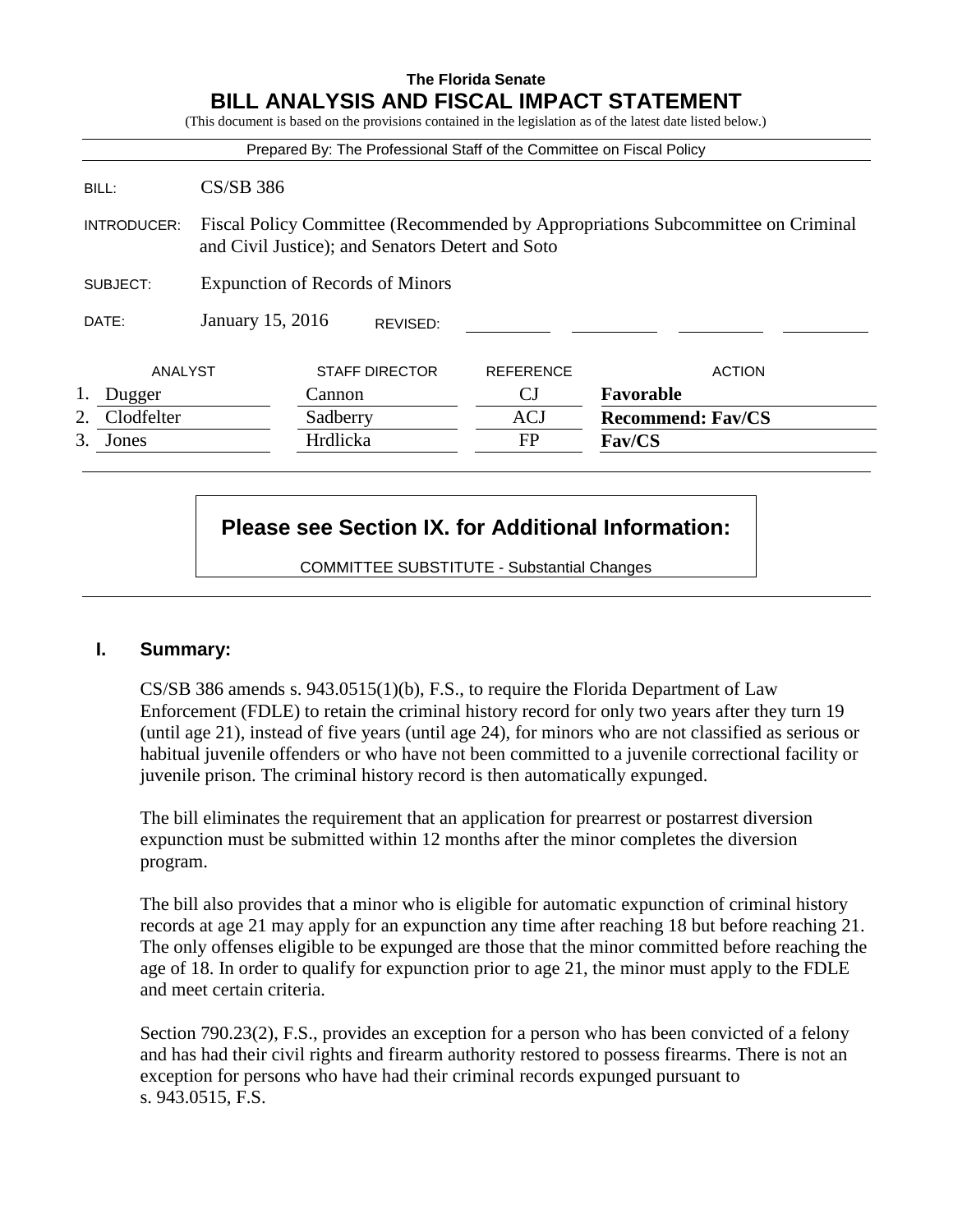# **The Florida Senate BILL ANALYSIS AND FISCAL IMPACT STATEMENT**

|             |                                        |          |                                                  | Prepared By: The Professional Staff of the Committee on Fiscal Policy |                                                                                 |  |
|-------------|----------------------------------------|----------|--------------------------------------------------|-----------------------------------------------------------------------|---------------------------------------------------------------------------------|--|
| BILL:       | $CS/SB$ 386                            |          |                                                  |                                                                       |                                                                                 |  |
| INTRODUCER: |                                        |          | and Civil Justice); and Senators Detert and Soto |                                                                       | Fiscal Policy Committee (Recommended by Appropriations Subcommittee on Criminal |  |
| SUBJECT:    | <b>Expunction of Records of Minors</b> |          |                                                  |                                                                       |                                                                                 |  |
| DATE:       | January 15, 2016                       |          | REVISED:                                         |                                                                       |                                                                                 |  |
| ANALYST     |                                        |          | <b>STAFF DIRECTOR</b>                            | <b>REFERENCE</b>                                                      | <b>ACTION</b>                                                                   |  |
| Dugger      |                                        | Cannon   |                                                  | <b>CJ</b>                                                             | Favorable                                                                       |  |
| Clodfelter  |                                        | Sadberry |                                                  | <b>ACJ</b>                                                            | <b>Recommend: Fav/CS</b>                                                        |  |
| 3.<br>Jones |                                        | Hrdlicka |                                                  | <b>FP</b>                                                             | Fav/CS                                                                          |  |

# **Please see Section IX. for Additional Information:**

COMMITTEE SUBSTITUTE - Substantial Changes

## **I. Summary:**

CS/SB 386 amends s. 943.0515(1)(b), F.S., to require the Florida Department of Law Enforcement (FDLE) to retain the criminal history record for only two years after they turn 19 (until age 21), instead of five years (until age 24), for minors who are not classified as serious or habitual juvenile offenders or who have not been committed to a juvenile correctional facility or juvenile prison. The criminal history record is then automatically expunged.

The bill eliminates the requirement that an application for prearrest or postarrest diversion expunction must be submitted within 12 months after the minor completes the diversion program.

The bill also provides that a minor who is eligible for automatic expunction of criminal history records at age 21 may apply for an expunction any time after reaching 18 but before reaching 21. The only offenses eligible to be expunged are those that the minor committed before reaching the age of 18. In order to qualify for expunction prior to age 21, the minor must apply to the FDLE and meet certain criteria.

Section 790.23(2), F.S., provides an exception for a person who has been convicted of a felony and has had their civil rights and firearm authority restored to possess firearms. There is not an exception for persons who have had their criminal records expunged pursuant to s. 943.0515, F.S.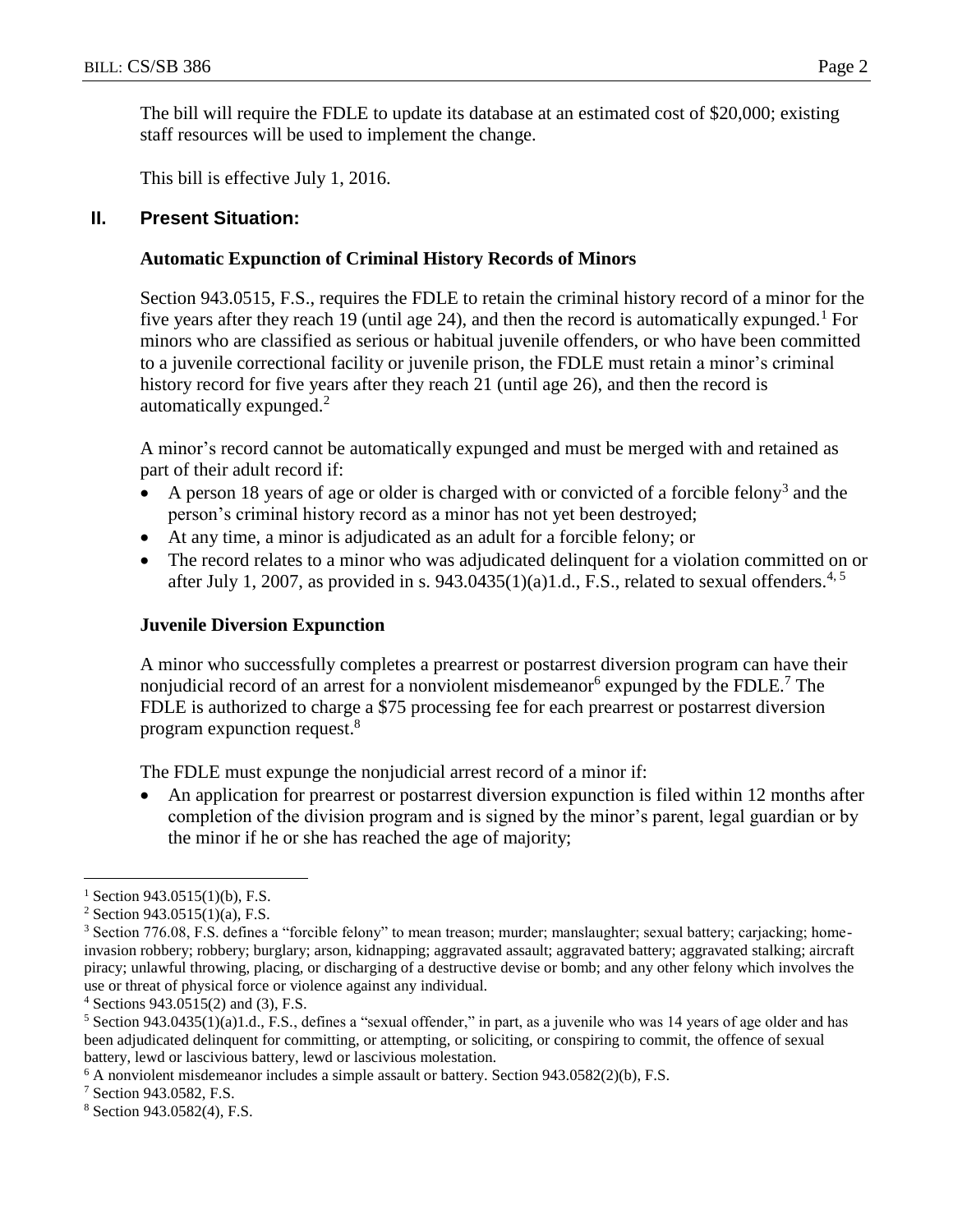The bill will require the FDLE to update its database at an estimated cost of \$20,000; existing staff resources will be used to implement the change.

This bill is effective July 1, 2016.

#### **II. Present Situation:**

#### **Automatic Expunction of Criminal History Records of Minors**

Section 943.0515, F.S., requires the FDLE to retain the criminal history record of a minor for the five years after they reach 19 (until age 24), and then the record is automatically expunged.<sup>1</sup> For minors who are classified as serious or habitual juvenile offenders, or who have been committed to a juvenile correctional facility or juvenile prison, the FDLE must retain a minor's criminal history record for five years after they reach 21 (until age 26), and then the record is automatically expunged.<sup>2</sup>

A minor's record cannot be automatically expunged and must be merged with and retained as part of their adult record if:

- A person 18 years of age or older is charged with or convicted of a forcible felony<sup>3</sup> and the person's criminal history record as a minor has not yet been destroyed;
- At any time, a minor is adjudicated as an adult for a forcible felony; or
- The record relates to a minor who was adjudicated delinquent for a violation committed on or after July 1, 2007, as provided in s. 943.0435(1)(a)1.d., F.S., related to sexual offenders.<sup>4, 5</sup>

#### **Juvenile Diversion Expunction**

A minor who successfully completes a prearrest or postarrest diversion program can have their nonjudicial record of an arrest for a nonviolent misdemeanor<sup>6</sup> expunged by the FDLE.<sup>7</sup> The FDLE is authorized to charge a \$75 processing fee for each prearrest or postarrest diversion program expunction request.<sup>8</sup>

The FDLE must expunge the nonjudicial arrest record of a minor if:

 An application for prearrest or postarrest diversion expunction is filed within 12 months after completion of the division program and is signed by the minor's parent, legal guardian or by the minor if he or she has reached the age of majority;

 $\overline{a}$ 

 $1$  Section 943.0515(1)(b), F.S.

 $2$  Section 943.0515(1)(a), F.S.

<sup>3</sup> Section 776.08, F.S. defines a "forcible felony" to mean treason; murder; manslaughter; sexual battery; carjacking; homeinvasion robbery; robbery; burglary; arson, kidnapping; aggravated assault; aggravated battery; aggravated stalking; aircraft piracy; unlawful throwing, placing, or discharging of a destructive devise or bomb; and any other felony which involves the use or threat of physical force or violence against any individual.

 $4$  Sections 943.0515(2) and (3), F.S.

 $5$  Section 943.0435(1)(a)1.d., F.S., defines a "sexual offender," in part, as a juvenile who was 14 years of age older and has been adjudicated delinquent for committing, or attempting, or soliciting, or conspiring to commit, the offence of sexual battery, lewd or lascivious battery, lewd or lascivious molestation.

 $6$  A nonviolent misdemeanor includes a simple assault or battery. Section 943.0582(2)(b), F.S.

<sup>7</sup> Section 943.0582, F.S.

<sup>8</sup> Section 943.0582(4), F.S.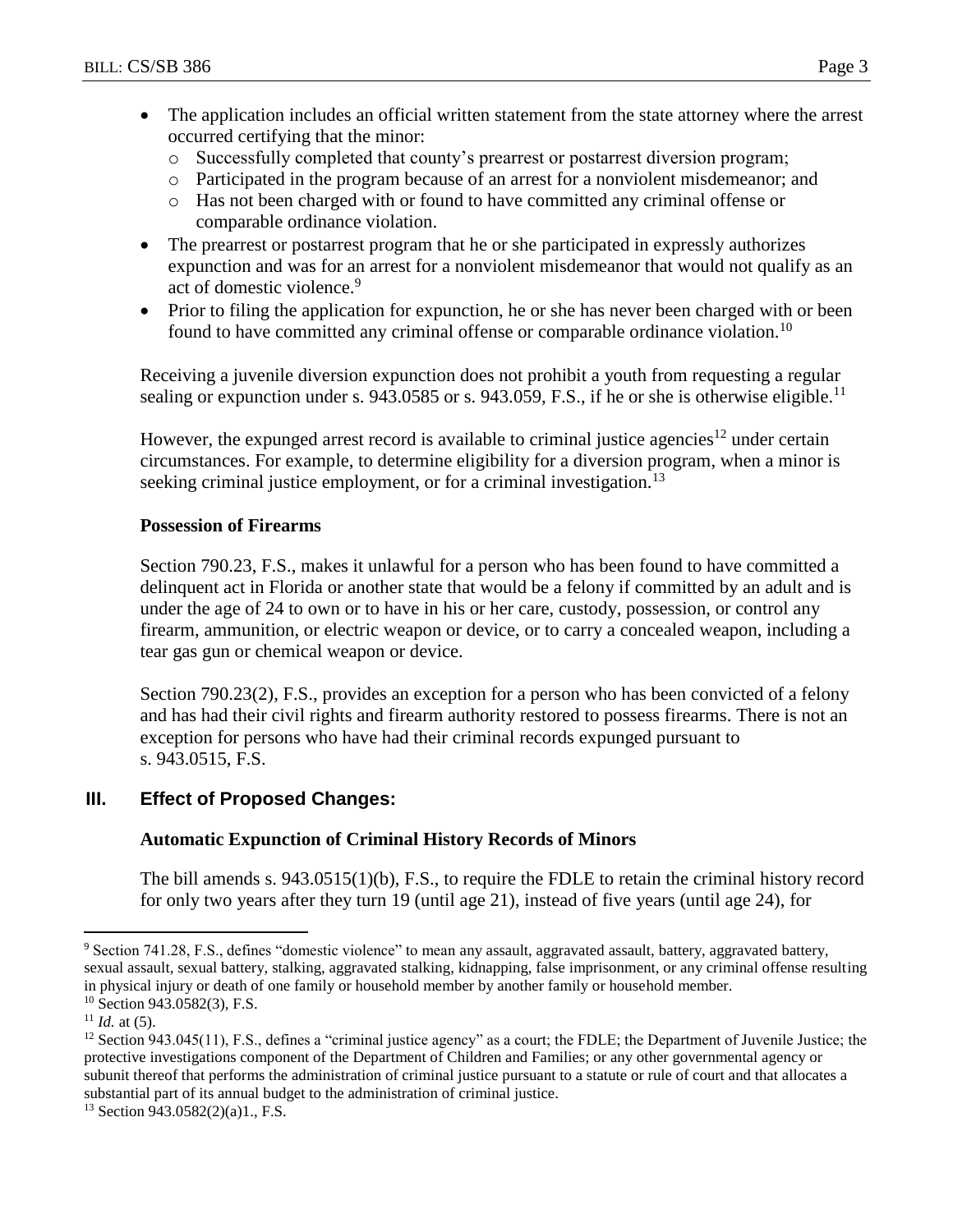- The application includes an official written statement from the state attorney where the arrest occurred certifying that the minor:
	- o Successfully completed that county's prearrest or postarrest diversion program;
	- o Participated in the program because of an arrest for a nonviolent misdemeanor; and
	- o Has not been charged with or found to have committed any criminal offense or comparable ordinance violation.
- The prearrest or postarrest program that he or she participated in expressly authorizes expunction and was for an arrest for a nonviolent misdemeanor that would not qualify as an act of domestic violence.<sup>9</sup>
- Prior to filing the application for expunction, he or she has never been charged with or been found to have committed any criminal offense or comparable ordinance violation.<sup>10</sup>

Receiving a juvenile diversion expunction does not prohibit a youth from requesting a regular sealing or expunction under s. 943.0585 or s. 943.059, F.S., if he or she is otherwise eligible.<sup>11</sup>

However, the expunged arrest record is available to criminal justice agencies<sup>12</sup> under certain circumstances. For example, to determine eligibility for a diversion program, when a minor is seeking criminal justice employment, or for a criminal investigation.<sup>13</sup>

## **Possession of Firearms**

Section 790.23, F.S., makes it unlawful for a person who has been found to have committed a delinquent act in Florida or another state that would be a felony if committed by an adult and is under the age of 24 to own or to have in his or her care, custody, possession, or control any firearm, ammunition, or electric weapon or device, or to carry a concealed weapon, including a tear gas gun or chemical weapon or device.

Section 790.23(2), F.S., provides an exception for a person who has been convicted of a felony and has had their civil rights and firearm authority restored to possess firearms. There is not an exception for persons who have had their criminal records expunged pursuant to s. 943.0515, F.S.

# **III. Effect of Proposed Changes:**

# **Automatic Expunction of Criminal History Records of Minors**

The bill amends s. 943.0515(1)(b), F.S., to require the FDLE to retain the criminal history record for only two years after they turn 19 (until age 21), instead of five years (until age 24), for

 $\overline{a}$ 

<sup>9</sup> Section 741.28, F.S., defines "domestic violence" to mean any assault, aggravated assault, battery, aggravated battery, sexual assault, sexual battery, stalking, aggravated stalking, kidnapping, false imprisonment, or any criminal offense resulting in physical injury or death of one family or household member by another family or household member.

 $10$  Section 943.0582(3), F.S.

 $11$  *Id.* at (5).

 $12$  Section 943.045(11), F.S., defines a "criminal justice agency" as a court; the FDLE; the Department of Juvenile Justice; the protective investigations component of the Department of Children and Families; or any other governmental agency or subunit thereof that performs the administration of criminal justice pursuant to a statute or rule of court and that allocates a substantial part of its annual budget to the administration of criminal justice.

 $13$  Section 943.0582(2)(a)1., F.S.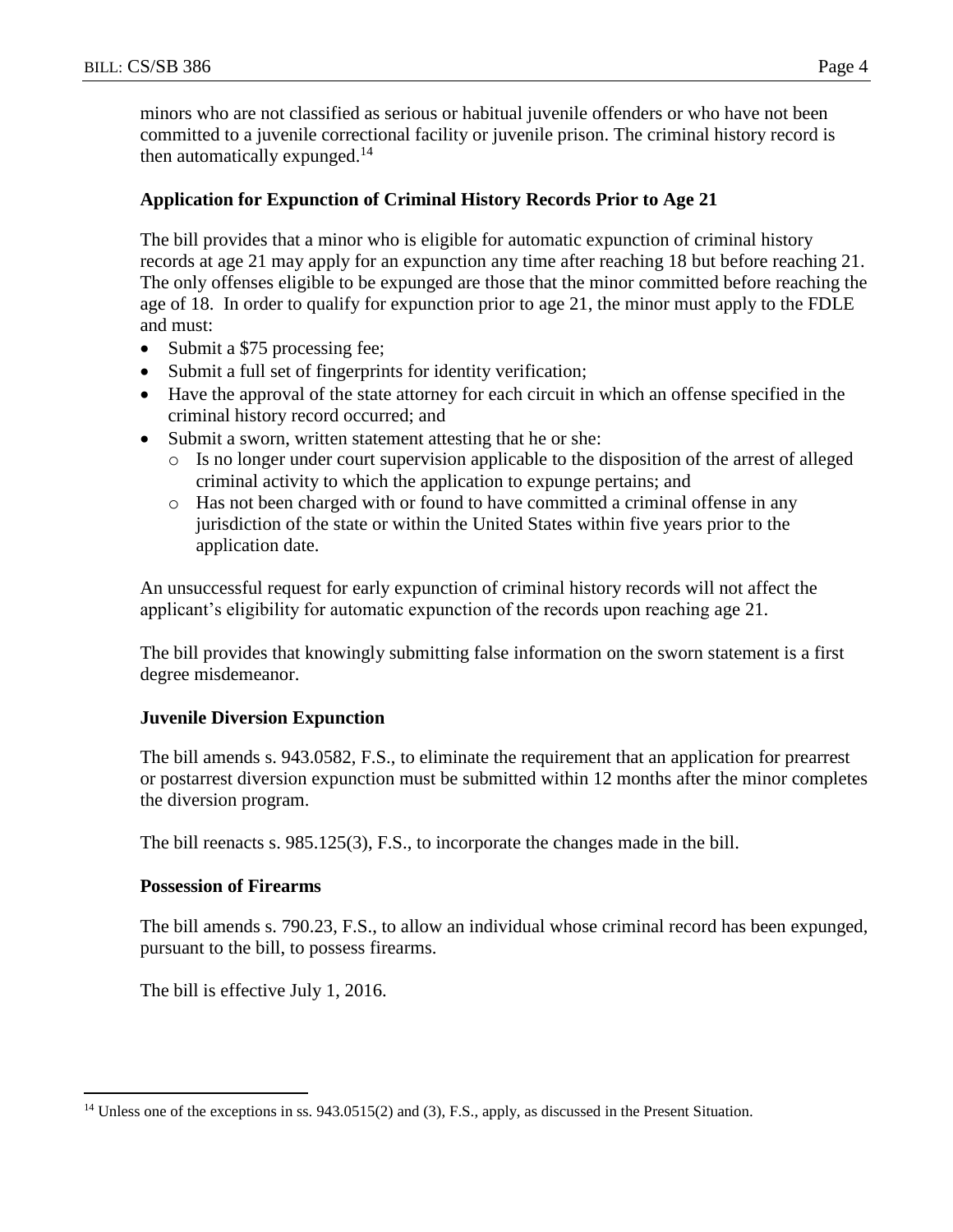minors who are not classified as serious or habitual juvenile offenders or who have not been committed to a juvenile correctional facility or juvenile prison. The criminal history record is then automatically expunged.<sup>14</sup>

## **Application for Expunction of Criminal History Records Prior to Age 21**

The bill provides that a minor who is eligible for automatic expunction of criminal history records at age 21 may apply for an expunction any time after reaching 18 but before reaching 21. The only offenses eligible to be expunged are those that the minor committed before reaching the age of 18. In order to qualify for expunction prior to age 21, the minor must apply to the FDLE and must:

- Submit a \$75 processing fee;
- Submit a full set of fingerprints for identity verification;
- Have the approval of the state attorney for each circuit in which an offense specified in the criminal history record occurred; and
- Submit a sworn, written statement attesting that he or she:
	- o Is no longer under court supervision applicable to the disposition of the arrest of alleged criminal activity to which the application to expunge pertains; and
	- o Has not been charged with or found to have committed a criminal offense in any jurisdiction of the state or within the United States within five years prior to the application date.

An unsuccessful request for early expunction of criminal history records will not affect the applicant's eligibility for automatic expunction of the records upon reaching age 21.

The bill provides that knowingly submitting false information on the sworn statement is a first degree misdemeanor.

## **Juvenile Diversion Expunction**

The bill amends s. 943.0582, F.S., to eliminate the requirement that an application for prearrest or postarrest diversion expunction must be submitted within 12 months after the minor completes the diversion program.

The bill reenacts s. 985.125(3), F.S., to incorporate the changes made in the bill.

## **Possession of Firearms**

The bill amends s. 790.23, F.S., to allow an individual whose criminal record has been expunged, pursuant to the bill, to possess firearms.

The bill is effective July 1, 2016.

 $\overline{a}$ <sup>14</sup> Unless one of the exceptions in ss. 943.0515(2) and (3), F.S., apply, as discussed in the Present Situation.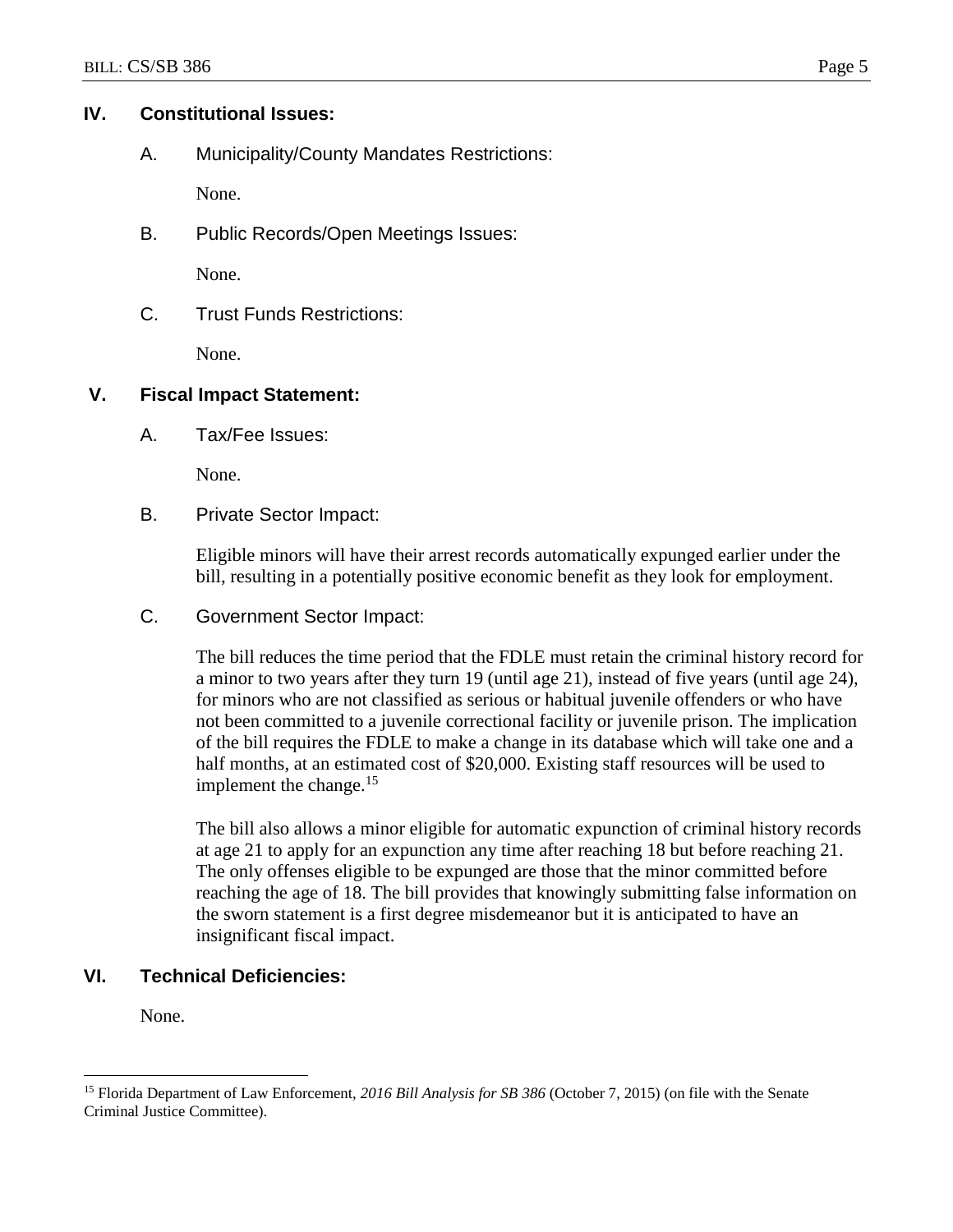#### **IV. Constitutional Issues:**

A. Municipality/County Mandates Restrictions:

None.

B. Public Records/Open Meetings Issues:

None.

C. Trust Funds Restrictions:

None.

## **V. Fiscal Impact Statement:**

A. Tax/Fee Issues:

None.

B. Private Sector Impact:

Eligible minors will have their arrest records automatically expunged earlier under the bill, resulting in a potentially positive economic benefit as they look for employment.

C. Government Sector Impact:

The bill reduces the time period that the FDLE must retain the criminal history record for a minor to two years after they turn 19 (until age 21), instead of five years (until age 24), for minors who are not classified as serious or habitual juvenile offenders or who have not been committed to a juvenile correctional facility or juvenile prison. The implication of the bill requires the FDLE to make a change in its database which will take one and a half months, at an estimated cost of \$20,000. Existing staff resources will be used to implement the change. $15$ 

The bill also allows a minor eligible for automatic expunction of criminal history records at age 21 to apply for an expunction any time after reaching 18 but before reaching 21. The only offenses eligible to be expunged are those that the minor committed before reaching the age of 18. The bill provides that knowingly submitting false information on the sworn statement is a first degree misdemeanor but it is anticipated to have an insignificant fiscal impact.

# **VI. Technical Deficiencies:**

None.

 $\overline{a}$ 

<sup>15</sup> Florida Department of Law Enforcement, *2016 Bill Analysis for SB 386* (October 7, 2015) (on file with the Senate Criminal Justice Committee).